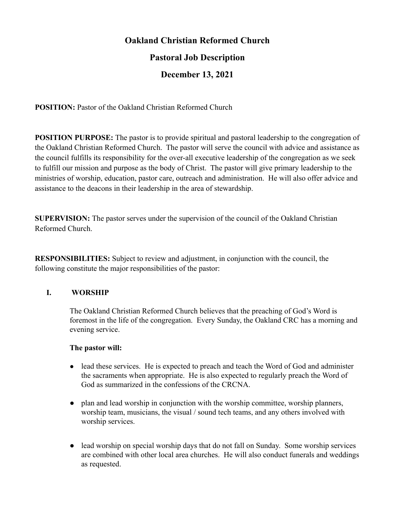# **Oakland Christian Reformed Church**

# **Pastoral Job Description**

# **December 13, 2021**

**POSITION:** Pastor of the Oakland Christian Reformed Church

**POSITION PURPOSE:** The pastor is to provide spiritual and pastoral leadership to the congregation of the Oakland Christian Reformed Church. The pastor will serve the council with advice and assistance as the council fulfills its responsibility for the over-all executive leadership of the congregation as we seek to fulfill our mission and purpose as the body of Christ. The pastor will give primary leadership to the ministries of worship, education, pastor care, outreach and administration. He will also offer advice and assistance to the deacons in their leadership in the area of stewardship.

**SUPERVISION:** The pastor serves under the supervision of the council of the Oakland Christian Reformed Church.

**RESPONSIBILITIES:** Subject to review and adjustment, in conjunction with the council, the following constitute the major responsibilities of the pastor:

# **I. WORSHIP**

The Oakland Christian Reformed Church believes that the preaching of God's Word is foremost in the life of the congregation. Every Sunday, the Oakland CRC has a morning and evening service.

- lead these services. He is expected to preach and teach the Word of God and administer the sacraments when appropriate. He is also expected to regularly preach the Word of God as summarized in the confessions of the CRCNA.
- plan and lead worship in conjunction with the worship committee, worship planners, worship team, musicians, the visual / sound tech teams, and any others involved with worship services.
- lead worship on special worship days that do not fall on Sunday. Some worship services are combined with other local area churches. He will also conduct funerals and weddings as requested.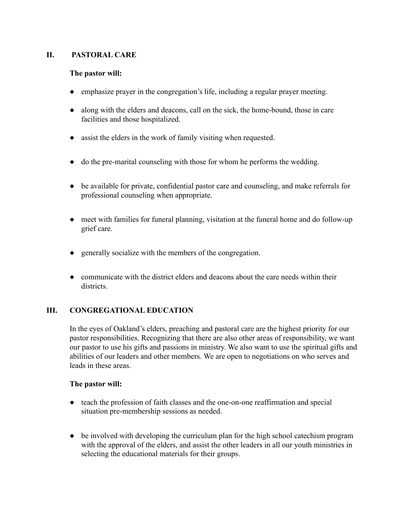## **II. PASTORAL CARE**

### **The pastor will:**

- emphasize prayer in the congregation's life, including a regular prayer meeting.
- along with the elders and deacons, call on the sick, the home-bound, those in care facilities and those hospitalized.
- assist the elders in the work of family visiting when requested.
- do the pre-marital counseling with those for whom he performs the wedding.
- be available for private, confidential pastor care and counseling, and make referrals for professional counseling when appropriate.
- meet with families for funeral planning, visitation at the funeral home and do follow-up grief care.
- generally socialize with the members of the congregation.
- communicate with the district elders and deacons about the care needs within their districts.

### **III. CONGREGATIONAL EDUCATION**

In the eyes of Oakland's elders, preaching and pastoral care are the highest priority for our pastor responsibilities. Recognizing that there are also other areas of responsibility, we want our pastor to use his gifts and passions in ministry. We also want to use the spiritual gifts and abilities of our leaders and other members. We are open to negotiations on who serves and leads in these areas.

- teach the profession of faith classes and the one-on-one reaffirmation and special situation pre-membership sessions as needed.
- be involved with developing the curriculum plan for the high school cate chism program with the approval of the elders, and assist the other leaders in all our youth ministries in selecting the educational materials for their groups.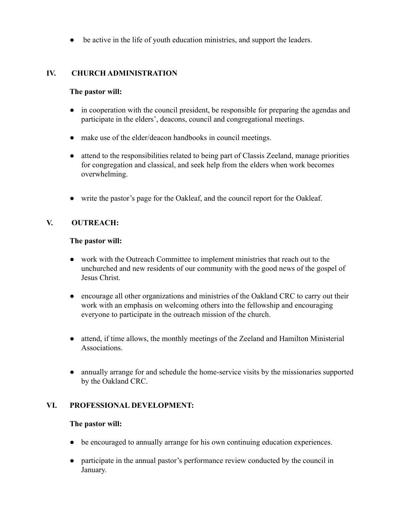● be active in the life of youth education ministries, and support the leaders.

## **IV. CHURCH ADMINISTRATION**

### **The pastor will:**

- in cooperation with the council president, be responsible for preparing the agendas and participate in the elders', deacons, council and congregational meetings.
- make use of the elder/deacon handbooks in council meetings.
- attend to the responsibilities related to being part of Classis Zeeland, manage priorities for congregation and classical, and seek help from the elders when work becomes overwhelming.
- write the pastor's page for the Oakleaf, and the council report for the Oakleaf.

# **V. OUTREACH:**

### **The pastor will:**

- work with the Outreach Committee to implement ministries that reach out to the unchurched and new residents of our community with the good news of the gospel of Jesus Christ.
- encourage all other organizations and ministries of the Oakland CRC to carry out their work with an emphasis on welcoming others into the fellowship and encouraging everyone to participate in the outreach mission of the church.
- attend, if time allows, the monthly meetings of the Zeeland and Hamilton Ministerial Associations.
- annually arrange for and schedule the home-service visits by the missionaries supported by the Oakland CRC.

### **VI. PROFESSIONAL DEVELOPMENT:**

- be encouraged to annually arrange for his own continuing education experiences.
- participate in the annual pastor's performance review conducted by the council in January.